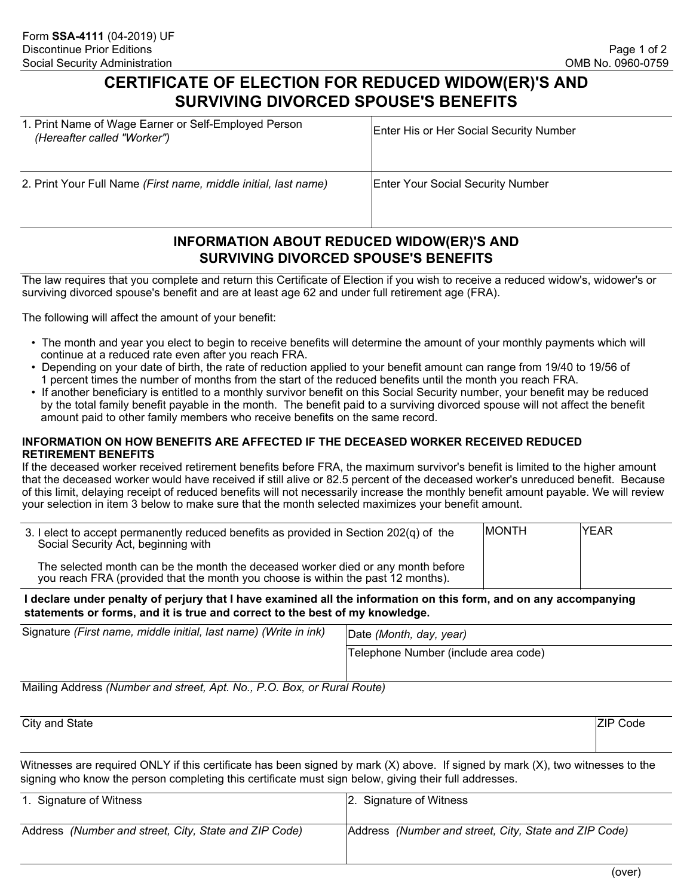# **CERTIFICATE OF ELECTION FOR REDUCED WIDOW(ER)'S AND SURVIVING DIVORCED SPOUSE'S BENEFITS**

| 1. Print Name of Wage Earner or Self-Employed Person<br>(Hereafter called "Worker") | <b>Enter His or Her Social Security Number</b> |
|-------------------------------------------------------------------------------------|------------------------------------------------|
| 2. Print Your Full Name (First name, middle initial, last name)                     | <b>Enter Your Social Security Number</b>       |

## **INFORMATION ABOUT REDUCED WIDOW(ER)'S AND SURVIVING DIVORCED SPOUSE'S BENEFITS**

The law requires that you complete and return this Certificate of Election if you wish to receive a reduced widow's, widower's or surviving divorced spouse's benefit and are at least age 62 and under full retirement age (FRA).

The following will affect the amount of your benefit:

- The month and year you elect to begin to receive benefits will determine the amount of your monthly payments which will continue at a reduced rate even after you reach FRA.
- Depending on your date of birth, the rate of reduction applied to your benefit amount can range from 19/40 to 19/56 of 1 percent times the number of months from the start of the reduced benefits until the month you reach FRA.
- If another beneficiary is entitled to a monthly survivor benefit on this Social Security number, your benefit may be reduced by the total family benefit payable in the month. The benefit paid to a surviving divorced spouse will not affect the benefit amount paid to other family members who receive benefits on the same record.

#### **INFORMATION ON HOW BENEFITS ARE AFFECTED IF THE DECEASED WORKER RECEIVED REDUCED RETIREMENT BENEFITS**

If the deceased worker received retirement benefits before FRA, the maximum survivor's benefit is limited to the higher amount that the deceased worker would have received if still alive or 82.5 percent of the deceased worker's unreduced benefit. Because of this limit, delaying receipt of reduced benefits will not necessarily increase the monthly benefit amount payable. We will review your selection in item 3 below to make sure that the month selected maximizes your benefit amount.

| 3. I elect to accept permanently reduced benefits as provided in Section 202(q) of the<br>Social Security Act, beginning with                                        | <b>IMONTH</b> | IYEAR |
|----------------------------------------------------------------------------------------------------------------------------------------------------------------------|---------------|-------|
| The selected month can be the month the deceased worker died or any month before<br>you reach FRA (provided that the month you choose is within the past 12 months). |               |       |

#### **I declare under penalty of perjury that I have examined all the information on this form, and on any accompanying statements or forms, and it is true and correct to the best of my knowledge.**

| Signature (First name, middle initial, last name) (Write in ink) | Date (Month, day, year)              |
|------------------------------------------------------------------|--------------------------------------|
|                                                                  | Telephone Number (include area code) |

Mailing Address *(Number and street, Apt. No., P.O. Box, or Rural Route)*

| City and State | <b>ZIP Code</b> |  |  |
|----------------|-----------------|--|--|
|                |                 |  |  |

Witnesses are required ONLY if this certificate has been signed by mark (X) above. If signed by mark (X), two witnesses to the signing who know the person completing this certificate must sign below, giving their full addresses.

| 1. Signature of Witness                               | 2. Signature of Witness                               |
|-------------------------------------------------------|-------------------------------------------------------|
| Address (Number and street, City, State and ZIP Code) | Address (Number and street, City, State and ZIP Code) |